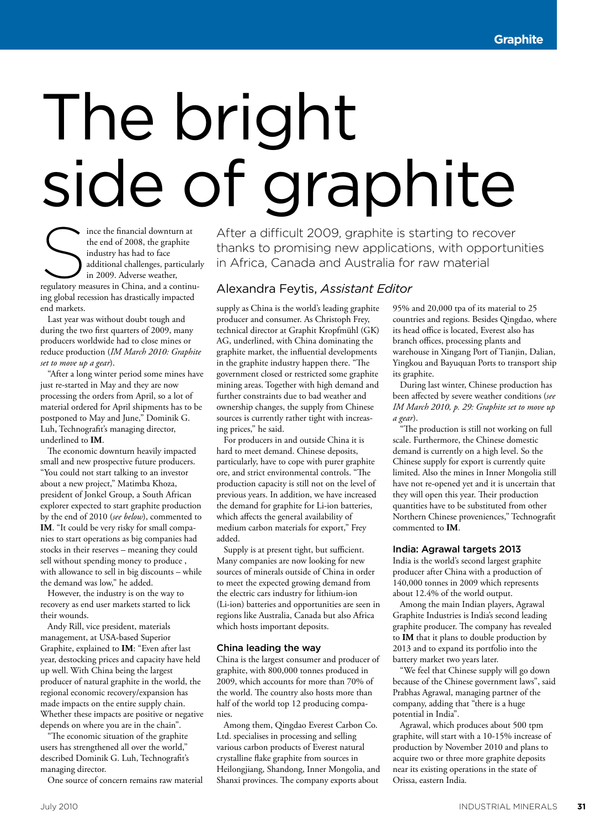# The bright side of graphite

Since the financial downturn at<br>
the end of 2008, the graphite<br>
industry has had to face<br>
additional challenges, particular<br>
in 2009. Adverse weather,<br>
regulatory measures in China, and a continuthe end of 2008, the graphite industry has had to face additional challenges, particularly in 2009. Adverse weather, ing global recession has drastically impacted end markets.

Last year was without doubt tough and during the two first quarters of 2009, many producers worldwide had to close mines or reduce production (*IM March 2010: Graphite set to move up a gear*).

"After a long winter period some mines have just re-started in May and they are now processing the orders from April, so a lot of material ordered for April shipments has to be postponed to May and June," Dominik G. Luh, Technografit's managing director, underlined to **IM**.

The economic downturn heavily impacted small and new prospective future producers. "You could not start talking to an investor about a new project," Matimba Khoza, president of Jonkel Group, a South African explorer expected to start graphite production by the end of 2010 (*see below*), commented to **IM**. "It could be very risky for small companies to start operations as big companies had stocks in their reserves – meaning they could sell without spending money to produce , with allowance to sell in big discounts – while the demand was low," he added.

However, the industry is on the way to recovery as end user markets started to lick their wounds.

Andy Rill, vice president, materials management, at USA-based Superior Graphite, explained to **IM**: "Even after last year, destocking prices and capacity have held up well. With China being the largest producer of natural graphite in the world, the regional economic recovery/expansion has made impacts on the entire supply chain. Whether these impacts are positive or negative depends on where you are in the chain".

"The economic situation of the graphite users has strengthened all over the world," described Dominik G. Luh, Technografit's managing director.

One source of concern remains raw material

After a difficult 2009, graphite is starting to recover thanks to promising new applications, with opportunities in Africa, Canada and Australia for raw material

#### Alexandra Feytis, *Assistant Editor*

supply as China is the world's leading graphite producer and consumer. As Christoph Frey, technical director at Graphit Kropfmühl (GK) AG, underlined, with China dominating the graphite market, the influential developments in the graphite industry happen there. "The government closed or restricted some graphite mining areas. Together with high demand and further constraints due to bad weather and ownership changes, the supply from Chinese sources is currently rather tight with increasing prices," he said.

For producers in and outside China it is hard to meet demand. Chinese deposits, particularly, have to cope with purer graphite ore, and strict environmental controls. "The production capacity is still not on the level of previous years. In addition, we have increased the demand for graphite for Li-ion batteries, which affects the general availability of medium carbon materials for export," Frey added.

Supply is at present tight, but sufficient. Many companies are now looking for new sources of minerals outside of China in order to meet the expected growing demand from the electric cars industry for lithium-ion (Li-ion) batteries and opportunities are seen in regions like Australia, Canada but also Africa which hosts important deposits.

#### China leading the way

China is the largest consumer and producer of graphite, with 800,000 tonnes produced in 2009, which accounts for more than 70% of the world. The country also hosts more than half of the world top 12 producing companies.

Among them, Qingdao Everest Carbon Co. Ltd. specialises in processing and selling various carbon products of Everest natural crystalline flake graphite from sources in Heilongjiang, Shandong, Inner Mongolia, and Shanxi provinces. The company exports about

95% and 20,000 tpa of its material to 25 countries and regions. Besides Qingdao, where its head office is located, Everest also has branch offices, processing plants and warehouse in Xingang Port of Tianjin, Dalian, Yingkou and Bayuquan Ports to transport ship its graphite.

During last winter, Chinese production has been affected by severe weather conditions (*see IM March 2010, p. 29: Graphite set to move up a gear*).

"The production is still not working on full scale. Furthermore, the Chinese domestic demand is currently on a high level. So the Chinese supply for export is currently quite limited. Also the mines in Inner Mongolia still have not re-opened yet and it is uncertain that they will open this year. Their production quantities have to be substituted from other Northern Chinese proveniences," Technografit commented to **IM**.

#### India: Agrawal targets 2013

India is the world's second largest graphite producer after China with a production of 140,000 tonnes in 2009 which represents about 12.4% of the world output.

Among the main Indian players, Agrawal Graphite Industries is India's second leading graphite producer. The company has revealed to **IM** that it plans to double production by 2013 and to expand its portfolio into the battery market two years later.

"We feel that Chinese supply will go down because of the Chinese government laws", said Prabhas Agrawal, managing partner of the company, adding that "there is a huge potential in India".

Agrawal, which produces about 500 tpm graphite, will start with a 10-15% increase of production by November 2010 and plans to acquire two or three more graphite deposits near its existing operations in the state of Orissa, eastern India.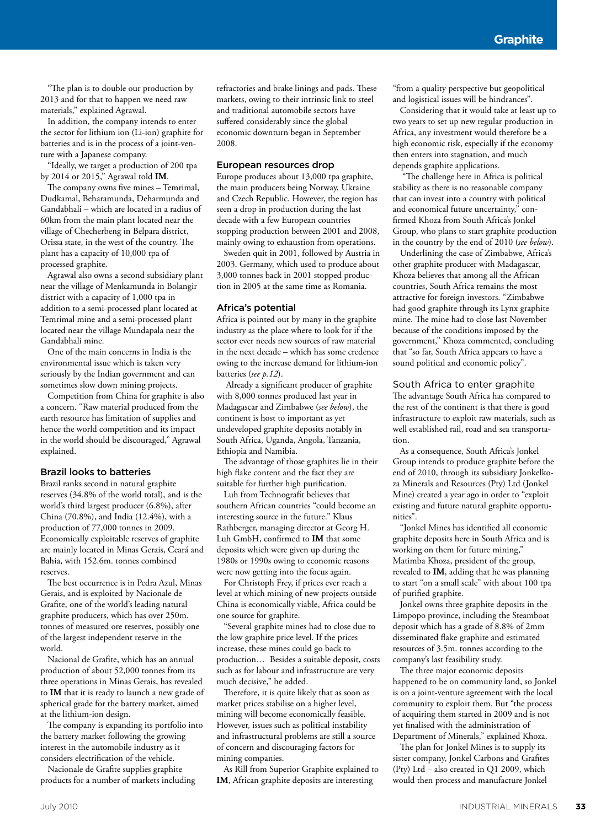"The plan is to double our production by 2013 and for that to happen we need raw materials," explained Agrawal.

In addition, the company intends to enter the sector for lithium ion (Li-ion) graphite for batteries and is in the process of a joint-venture with a Japanese company.

"Ideally, we target a production of 200 tpa by 2014 or 2015," Agrawal told **IM**.

The company owns five mines – Temrimal, Dudkamal, Beharamunda, Deharmunda and Gandabhali – which are located in a radius of 60km from the main plant located near the village of Checherbeng in Belpara district, Orissa state, in the west of the country. The plant has a capacity of 10,000 tpa of processed graphite.

Agrawal also owns a second subsidiary plant near the village of Menkamunda in Bolangir district with a capacity of 1,000 tpa in addition to a semi-processed plant located at Temrimal mine and a semi-processed plant located near the village Mundapala near the Gandabhali mine.

One of the main concerns in India is the environmental issue which is taken very seriously by the Indian government and can sometimes slow down mining projects.

Competition from China for graphite is also a concern. "Raw material produced from the earth resource has limitation of supplies and hence the world competition and its impact in the world should be discouraged," Agrawal explained.

#### Brazil looks to batteries

Brazil ranks second in natural graphite reserves (34.8% of the world total), and is the world's third largest producer (6.8%), after China (70.8%), and India (12.4%), with a production of 77,000 tonnes in 2009. Economically exploitable reserves of graphite are mainly located in Minas Gerais, Ceará and Bahia, with 152.6m. tonnes combined reserves.

The best occurrence is in Pedra Azul, Minas Gerais, and is exploited by Nacionale de Grafite, one of the world's leading natural graphite producers, which has over 250m. tonnes of measured ore reserves, possibly one of the largest independent reserve in the world.

Nacional de Grafite, which has an annual production of about 52,000 tonnes from its three operations in Minas Gerais, has revealed to **IM** that it is ready to launch a new grade of spherical grade for the battery market, aimed at the lithium-ion design.

The company is expanding its portfolio into the battery market following the growing interest in the automobile industry as it considers electrification of the vehicle.

Nacionale de Grafite supplies graphite products for a number of markets including refractories and brake linings and pads. These markets, owing to their intrinsic link to steel and traditional automobile sectors have suffered considerably since the global economic downturn began in September 2008.

#### European resources drop

Europe produces about 13,000 tpa graphite, the main producers being Norway, Ukraine and Czech Republic. However, the region has seen a drop in production during the last decade with a few European countries stopping production between 2001 and 2008, mainly owing to exhaustion from operations.

Sweden quit in 2001, followed by Austria in 2003. Germany, which used to produce about 3,000 tonnes back in 2001 stopped production in 2005 at the same time as Romania.

#### Africa's potential

Africa is pointed out by many in the graphite industry as the place where to look for if the sector ever needs new sources of raw material in the next decade – which has some credence owing to the increase demand for lithium-ion batteries (*see p.12*).

 Already a significant producer of graphite with 8,000 tonnes produced last year in Madagascar and Zimbabwe (*see below*), the continent is host to important as yet undeveloped graphite deposits notably in South Africa, Uganda, Angola, Tanzania, Ethiopia and Namibia.

The advantage of those graphites lie in their high flake content and the fact they are suitable for further high purification.

Luh from Technografit believes that southern African countries "could become an interesting source in the future." Klaus Rathberger, managing director at Georg H. Luh GmbH, confirmed to **IM** that some deposits which were given up during the 1980s or 1990s owing to economic reasons were now getting into the focus again.

For Christoph Frey, if prices ever reach a level at which mining of new projects outside China is economically viable, Africa could be one source for graphite.

"Several graphite mines had to close due to the low graphite price level. If the prices increase, these mines could go back to production… Besides a suitable deposit, costs such as for labour and infrastructure are very much decisive," he added.

Therefore, it is quite likely that as soon as market prices stabilise on a higher level, mining will become economically feasible. However, issues such as political instability and infrastructural problems are still a source of concern and discouraging factors for mining companies.

As Rill from Superior Graphite explained to **IM**, African graphite deposits are interesting

"from a quality perspective but geopolitical and logistical issues will be hindrances".

Considering that it would take at least up to two years to set up new regular production in Africa, any investment would therefore be a high economic risk, especially if the economy then enters into stagnation, and much depends graphite applications.

 "The challenge here in Africa is political stability as there is no reasonable company that can invest into a country with political and economical future uncertainty," confirmed Khoza from South Africa's Jonkel Group, who plans to start graphite production in the country by the end of 2010 (*see below*).

Underlining the case of Zimbabwe, Africa's other graphite producer with Madagascar, Khoza believes that among all the African countries, South Africa remains the most attractive for foreign investors. "Zimbabwe had good graphite through its Lynx graphite mine. The mine had to close last November because of the conditions imposed by the government," Khoza commented, concluding that "so far, South Africa appears to have a sound political and economic policy".

#### South Africa to enter graphite

The advantage South Africa has compared to the rest of the continent is that there is good infrastructure to exploit raw materials, such as well established rail, road and sea transportation.

As a consequence, South Africa's Jonkel Group intends to produce graphite before the end of 2010, through its subsidiary Jonkelkoza Minerals and Resources (Pty) Ltd (Jonkel Mine) created a year ago in order to "exploit existing and future natural graphite opportunities".

"Jonkel Mines has identified all economic graphite deposits here in South Africa and is working on them for future mining," Matimba Khoza, president of the group, revealed to **IM**, adding that he was planning to start "on a small scale" with about 100 tpa of purified graphite.

Jonkel owns three graphite deposits in the Limpopo province, including the Steamboat deposit which has a grade of 8.8% of 2mm disseminated flake graphite and estimated resources of 3.5m. tonnes according to the company's last feasibility study.

The three major economic deposits happened to be on community land, so Jonkel is on a joint-venture agreement with the local community to exploit them. But "the process of acquiring them started in 2009 and is not yet finalised with the administration of Department of Minerals," explained Khoza.

The plan for Jonkel Mines is to supply its sister company, Jonkel Carbons and Grafites (Pty) Ltd – also created in Q1 2009, which would then process and manufacture Jonkel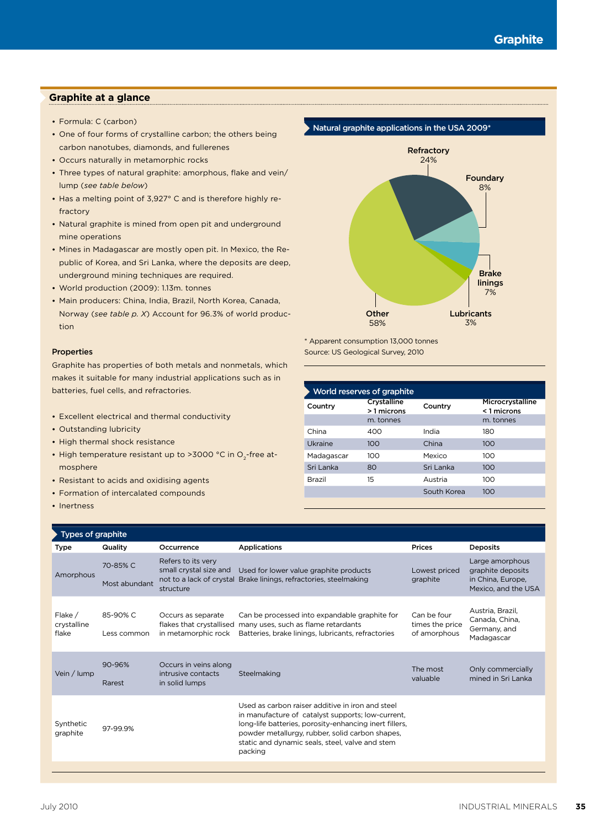#### **Graphite at a glance**

- Formula: C (carbon)
- One of four forms of crystalline carbon; the others being carbon nanotubes, diamonds, and fullerenes
- Occurs naturally in metamorphic rocks
- Three types of natural graphite: amorphous, flake and vein/ lump (*see table below*)
- Has a melting point of 3,927° C and is therefore highly refractory
- Natural graphite is mined from open pit and underground mine operations
- Mines in Madagascar are mostly open pit. In Mexico, the Republic of Korea, and Sri Lanka, where the deposits are deep, underground mining techniques are required.
- World production (2009): 1.13m. tonnes
- Main producers: China, India, Brazil, North Korea, Canada, Norway (*see table p. X*) Account for 96.3% of world production

#### Properties

Graphite has properties of both metals and nonmetals, which makes it suitable for many industrial applications such as in batteries, fuel cells, and refractories.

- Excellent electrical and thermal conductivity
- Outstanding lubricity
- High thermal shock resistance
- High temperature resistant up to >3000 °C in O<sub>2</sub>-free atmosphere
- Resistant to acids and oxidising agents
- Formation of intercalated compounds
- Inertness



\* Apparent consumption 13,000 tonnes Source: US Geological Survey, 2010

| World reserves of graphite |                           |             |                                 |  |
|----------------------------|---------------------------|-------------|---------------------------------|--|
| Country                    | Crystalline<br>>1 microns | Country     | Microcrystalline<br>< 1 microns |  |
|                            | m. tonnes                 |             | m. tonnes                       |  |
| China                      | 400                       | India       | 180                             |  |
| Ukraine                    | 100                       | China       | 100                             |  |
| Madagascar                 | 100                       | Mexico      | 100                             |  |
| Sri Lanka                  | 80                        | Sri Lanka   | 100                             |  |
| Brazil                     | 15                        | Austria     | 100                             |  |
|                            |                           | South Korea | 100                             |  |

| Types of graphite                 |                           |                                                                       |                                                                                                                                                                                                                                                                                  |                                                |                                                                                  |
|-----------------------------------|---------------------------|-----------------------------------------------------------------------|----------------------------------------------------------------------------------------------------------------------------------------------------------------------------------------------------------------------------------------------------------------------------------|------------------------------------------------|----------------------------------------------------------------------------------|
| <b>Type</b>                       | Quality                   | Occurrence                                                            | <b>Applications</b>                                                                                                                                                                                                                                                              | <b>Prices</b>                                  | <b>Deposits</b>                                                                  |
| Amorphous                         | 70-85% C<br>Most abundant | Refers to its very<br>small crystal size and<br>structure             | Used for lower value graphite products<br>not to a lack of crystal Brake linings, refractories, steelmaking                                                                                                                                                                      | Lowest priced<br>graphite                      | Large amorphous<br>graphite deposits<br>in China, Europe,<br>Mexico, and the USA |
| Flake $/$<br>crystalline<br>flake | 85-90% C<br>Less common   | Occurs as separate<br>flakes that crystallised<br>in metamorphic rock | Can be processed into expandable graphite for<br>many uses, such as flame retardants<br>Batteries, brake linings, lubricants, refractories                                                                                                                                       | Can be four<br>times the price<br>of amorphous | Austria, Brazil,<br>Canada, China,<br>Germany, and<br>Madagascar                 |
| Vein / lump                       | 90-96%<br>Rarest          | Occurs in veins along<br>intrusive contacts<br>in solid lumps         | Steelmaking                                                                                                                                                                                                                                                                      | The most<br>valuable                           | Only commercially<br>mined in Sri Lanka                                          |
| Synthetic<br>graphite             | 97-99.9%                  |                                                                       | Used as carbon raiser additive in iron and steel<br>in manufacture of catalyst supports; low-current,<br>long-life batteries, porosity-enhancing inert fillers,<br>powder metallurgy, rubber, solid carbon shapes,<br>static and dynamic seals, steel, valve and stem<br>packing |                                                |                                                                                  |
|                                   |                           |                                                                       |                                                                                                                                                                                                                                                                                  |                                                |                                                                                  |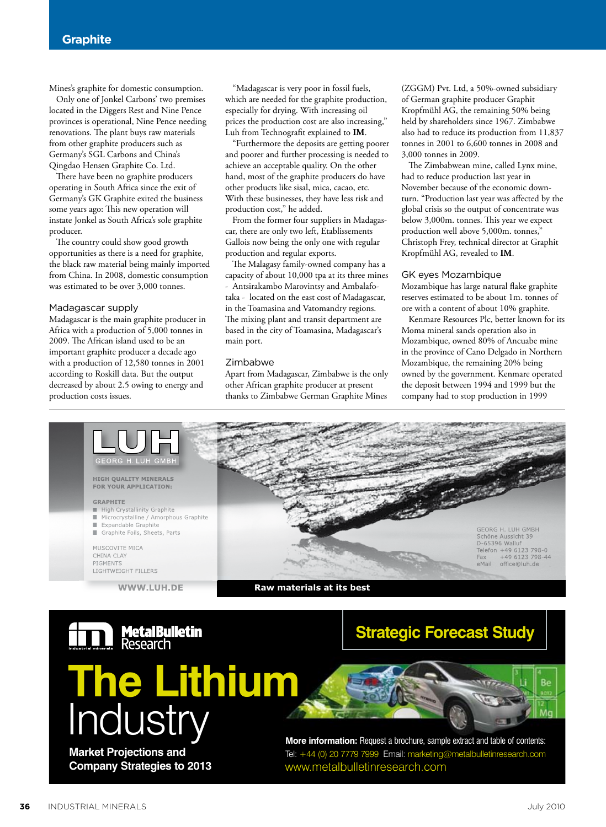Mines's graphite for domestic consumption.

Only one of Jonkel Carbons' two premises located in the Diggers Rest and Nine Pence provinces is operational, Nine Pence needing renovations. The plant buys raw materials from other graphite producers such as Germany's SGL Carbons and China's Qingdao Hensen Graphite Co. Ltd.

There have been no graphite producers operating in South Africa since the exit of Germany's GK Graphite exited the business some years ago: This new operation will instate Jonkel as South Africa's sole graphite producer.

The country could show good growth opportunities as there is a need for graphite, the black raw material being mainly imported from China. In 2008, domestic consumption was estimated to be over 3,000 tonnes.

#### Madagascar supply

Madagascar is the main graphite producer in Africa with a production of 5,000 tonnes in 2009. The African island used to be an important graphite producer a decade ago with a production of 12,580 tonnes in 2001 according to Roskill data. But the output decreased by about 2.5 owing to energy and production costs issues. roduction costs issues. Thanks to Zimbabwe German Graphite Mines

"Madagascar is very poor in fossil fuels, which are needed for the graphite production, especially for drying. With increasing oil prices the production cost are also increasing," Luh from Technografit explained to **IM**.

"Furthermore the deposits are getting poorer and poorer and further processing is needed to achieve an acceptable quality. On the other hand, most of the graphite producers do have other products like sisal, mica, cacao, etc. With these businesses, they have less risk and production cost," he added.

From the former four suppliers in Madagascar, there are only two left, Etablissements Gallois now being the only one with regular production and regular exports.

The Malagasy family-owned company has a capacity of about 10,000 tpa at its three mines - Antsirakambo Marovintsy and Ambalafotaka - located on the east cost of Madagascar, in the Toamasina and Vatomandry regions. The mixing plant and transit department are based in the city of Toamasina, Madagascar's main port.

#### Zimbabwe

Apart from Madagascar, Zimbabwe is the only other African graphite producer at present

(ZGGM) Pvt. Ltd, a 50%-owned subsidiary of German graphite producer Graphit Kropfmühl AG, the remaining 50% being held by shareholders since 1967. Zimbabwe also had to reduce its production from 11,837 tonnes in 2001 to 6,600 tonnes in 2008 and 3,000 tonnes in 2009.

The Zimbabwean mine, called Lynx mine, had to reduce production last year in November because of the economic downturn. "Production last year was affected by the global crisis so the output of concentrate was below 3,000m. tonnes. This year we expect production well above 5,000m. tonnes, Christoph Frey, technical director at Graphit Kropfmühl AG, revealed to **IM**.

#### GK eyes Mozambique

Mozambique has large natural flake graphite reserves estimated to be about 1m. tonnes of ore with a content of about 10% graphite.

Kenmare Resources Plc, better known for its Moma mineral sands operation also in Mozambique, owned 80% of Ancuabe mine in the province of Cano Delgado in Northern Mozambique, the remaining 20% being owned by the government. Kenmare operated the deposit between 1994 and 1999 but the company had to stop production in 1999



**MetalBulletin**<br>Research

# **The Lithium Industry**

**Market Projections and**

## **Strategic Forecast Study**



**Company Strategies to 2013** www.metalbulletinresearch.com **More information:** Request a brochure, sample extract and table of contents: Tel: +44 (0) 20 7779 7999 Email: marketing@metalbulletinresearch.com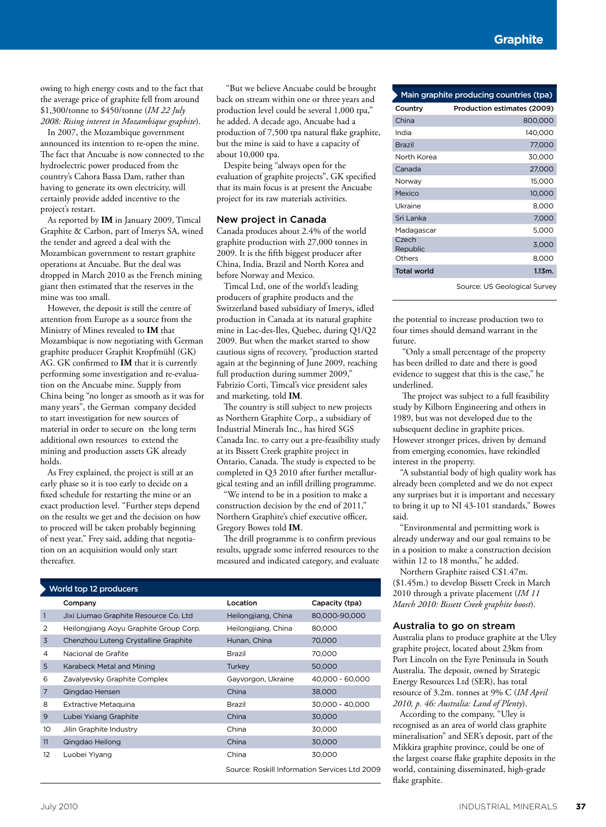owing to high energy costs and to the fact that the average price of graphite fell from around \$1,300/tonne to \$450/tonne (*IM 22 July 2008: Rising interest in Mozambique graphite*).

In 2007, the Mozambique government announced its intention to re-open the mine. The fact that Ancuabe is now connected to the hydroelectric power produced from the country's Cahora Bassa Dam, rather than having to generate its own electricity, will certainly provide added incentive to the project's restart.

As reported by **IM** in January 2009, Timcal Graphite & Carbon, part of Imerys SA, wined the tender and agreed a deal with the Mozambican government to restart graphite operations at Ancuabe. But the deal was dropped in March 2010 as the French mining giant then estimated that the reserves in the mine was too small.

However, the deposit is still the centre of attention from Europe as a source from the Ministry of Mines revealed to **IM** that Mozambique is now negotiating with German graphite producer Graphit Kropfmühl (GK) AG. GK confirmed to **IM** that it is currently performing some investigation and re-evaluation on the Ancuabe mine. Supply from China being "no longer as smooth as it was for many years", the German company decided to start investigation for new sources of material in order to secure on the long term additional own resources to extend the mining and production assets GK already holds.

As Frey explained, the project is still at an early phase so it is too early to decide on a fixed schedule for restarting the mine or an exact production level. "Further steps depend on the results we get and the decision on how to proceed will be taken probably beginning of next year," Frey said, adding that negotiation on an acquisition would only start thereafter.

"But we believe Ancuabe could be brought back on stream within one or three years and production level could be several 1,000 tpa," he added. A decade ago, Ancuabe had a production of 7,500 tpa natural flake graphite, but the mine is said to have a capacity of about 10,000 tpa.

Despite being "always open for the evaluation of graphite projects", GK specified that its main focus is at present the Ancuabe project for its raw materials activities.

#### New project in Canada

Canada produces about 2.4% of the world graphite production with 27,000 tonnes in 2009. It is the fifth biggest producer after China, India, Brazil and North Korea and before Norway and Mexico.

Timcal Ltd, one of the world's leading producers of graphite products and the Switzerland based subsidiary of Imerys, idled production in Canada at its natural graphite mine in Lac-des-Iles, Quebec, during Q1/Q2 2009. But when the market started to show cautious signs of recovery, "production started again at the beginning of June 2009, reaching full production during summer 2009," Fabrizio Corti, Timcal's vice president sales and marketing, told **IM**.

The country is still subject to new projects as Northern Graphite Corp., a subsidiary of Industrial Minerals Inc., has hired SGS Canada Inc. to carry out a pre-feasibility study at its Bissett Creek graphite project in Ontario, Canada. The study is expected to be completed in Q3 2010 after further metallurgical testing and an infill drilling programme.

We intend to be in a position to make a construction decision by the end of 2011," Northern Graphite's chief executive officer, Gregory Bowes told **IM**.

The drill programme is to confirm previous results, upgrade some inferred resources to the measured and indicated category, and evaluate

| World top 12 producers |                                        |                                               |                 |  |  |
|------------------------|----------------------------------------|-----------------------------------------------|-----------------|--|--|
|                        | Company                                | Location                                      | Capacity (tpa)  |  |  |
| 1                      | Jixi Liumao Graphite Resource Co. Ltd  | Heilongjiang, China                           | 80,000-90,000   |  |  |
| 2                      | Heilongjiang Aoyu Graphite Group Corp. | Heilongjiang, China                           | 80,000          |  |  |
| 3                      | Chenzhou Luteng Crystalline Graphite   | Hunan, China                                  | 70,000          |  |  |
| 4                      | Nacional de Grafite                    | Brazil                                        | 70,000          |  |  |
| 5                      | Karabeck Metal and Mining              | Turkey                                        | 50,000          |  |  |
| 6                      | Zavalyevsky Graphite Complex           | Gayvorgon, Ukraine                            | 40,000 - 60,000 |  |  |
| 7                      | Qingdao Hensen                         | China                                         | 38,000          |  |  |
| 8                      | <b>Extractive Metaquina</b>            | Brazil                                        | 30.000 - 40.000 |  |  |
| 9                      | Lubei Yxiang Graphite                  | China                                         | 30,000          |  |  |
| 10                     | Jilin Graphite Industry                | China                                         | 30,000          |  |  |
| 11                     | Qingdao Heilong                        | China                                         | 30,000          |  |  |
| 12                     | Luobei Yiyang                          | China                                         | 30,000          |  |  |
|                        |                                        | Source: Roskill Information Services Ltd 2009 |                 |  |  |

| Main graphite producing countries (tpa) |                             |  |
|-----------------------------------------|-----------------------------|--|
| Country                                 | Production estimates (2009) |  |
| China                                   | 800,000                     |  |
| India                                   | 140,000                     |  |
| <b>Brazil</b>                           | 77,000                      |  |
| North Korea                             | 30,000                      |  |
| Canada                                  | 27,000                      |  |
| Norway                                  | 15,000                      |  |
| Mexico                                  | 10,000                      |  |
| Ukraine                                 | 8,000                       |  |
| Sri Lanka                               | 7,000                       |  |
| Madagascar                              | 5,000                       |  |
| Czech<br>Republic                       | 3,000                       |  |
| Others                                  | 8.000                       |  |
| <b>Total world</b>                      | 1.13m.                      |  |

Source: US Geological Survey

the potential to increase production two to four times should demand warrant in the future.

 "Only a small percentage of the property has been drilled to date and there is good evidence to suggest that this is the case," he underlined.

The project was subject to a full feasibility study by Kilborn Engineering and others in 1989, but was not developed due to the subsequent decline in graphite prices. However stronger prices, driven by demand from emerging economies, have rekindled interest in the property.

"A substantial body of high quality work has already been completed and we do not expect any surprises but it is important and necessary to bring it up to NI 43-101 standards," Bowes said.

"Environmental and permitting work is already underway and our goal remains to be in a position to make a construction decision within 12 to 18 months," he added.

Northern Graphite raised C\$1.47m. (\$1.45m.) to develop Bissett Creek in March 2010 through a private placement (*IM 11 March 2010: Bissett Creek graphite boost*).

#### Australia to go on stream

Australia plans to produce graphite at the Uley graphite project, located about 23km from Port Lincoln on the Eyre Peninsula in South Australia. The deposit, owned by Strategic Energy Resources Ltd (SER), has total resource of 3.2m. tonnes at 9% C (*IM April 2010, p. 46: Australia: Land of Plenty*).

According to the company, "Uley is recognised as an area of world class graphite mineralisation" and SER's deposit, part of the Mikkira graphite province, could be one of the largest coarse flake graphite deposits in the world, containing disseminated, high-grade flake graphite.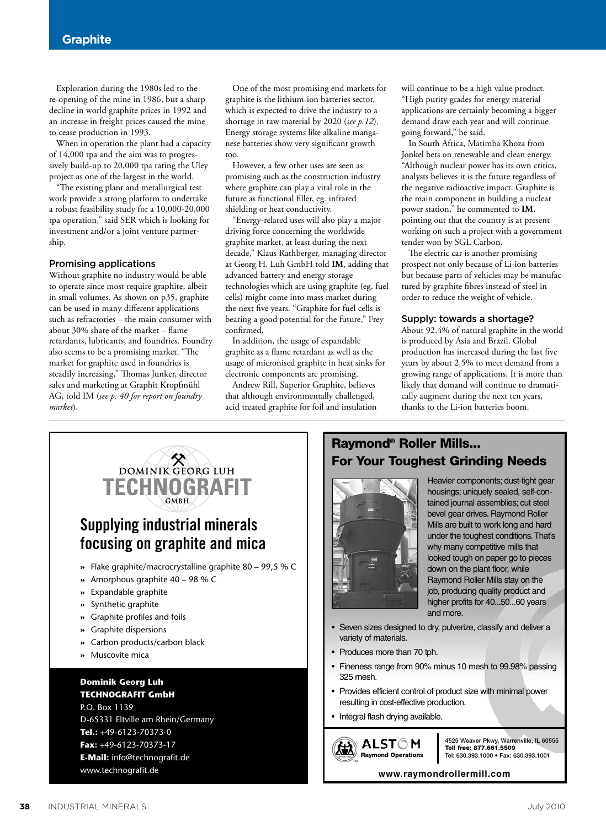Exploration during the 1980s led to the re-opening of the mine in 1986, but a sharp decline in world graphite prices in 1992 and an increase in freight prices caused the mine to cease production in 1993.

When in operation the plant had a capacity of 14,000 tpa and the aim was to progressively build-up to 20,000 tpa rating the Uley project as one of the largest in the world.

"The existing plant and metallurgical test work provide a strong platform to undertake a robust feasibility study for a 10,000-20,000 tpa operation," said SER which is looking for investment and/or a joint venture partnership.

#### Promising applications

Without graphite no industry would be able to operate since most require graphite, albeit in small volumes. As shown on p35, graphite can be used in many different applications such as refractories – the main consumer with about 30% share of the market – flame retardants, lubricants, and foundries. Foundry also seems to be a promising market. "The market for graphite used in foundries is steadily increasing," Thomas Junker, director sales and marketing at Graphit Kropfmühl AG, told IM (*see p. 40 for report on foundry market*).

One of the most promising end markets for graphite is the lithium-ion batteries sector, which is expected to drive the industry to a shortage in raw material by 2020 (*see p.12*). Energy storage systems like alkaline manganese batteries show very significant growth too.

However, a few other uses are seen as promising such as the construction industry where graphite can play a vital role in the future as functional filler, eg. infrared shielding or heat conductivity.

"Energy-related uses will also play a major driving force concerning the worldwide graphite market, at least during the next decade," Klaus Rathberger, managing director at Georg H. Luh GmbH told **IM**, adding that advanced battery and energy storage technologies which are using graphite (eg. fuel cells) might come into mass market during the next five years. "Graphite for fuel cells is bearing a good potential for the future," Frey confirmed.

In addition, the usage of expandable graphite as a flame retardant as well as the usage of micronised graphite in heat sinks for electronic components are promising.

Andrew Rill, Superior Graphite, believes that although environmentally challenged, acid treated graphite for foil and insulation will continue to be a high value product. "High purity grades for energy material applications are certainly becoming a bigger demand draw each year and will continue going forward," he said.

In South Africa, Matimba Khoza from Jonkel bets on renewable and clean energy. "Although nuclear power has its own critics, analysts believes it is the future regardless of the negative radioactive impact. Graphite is the main component in building a nuclear power station," he commented to **IM**, pointing out that the country is at present working on such a project with a government tender won by SGL Carbon.

The electric car is another promising prospect not only because of Li-ion batteries but because parts of vehicles may be manufactured by graphite fibres instead of steel in order to reduce the weight of vehicle.

#### Supply: towards a shortage?

About 92.4% of natural graphite in the world is produced by Asia and Brazil. Global production has increased during the last five years by about 2.5% to meet demand from a growing range of applications. It is more than likely that demand will continue to dramatically augment during the next ten years, thanks to the Li-ion batteries boom.



### Raymond® Roller Mills... For Your Toughest Grinding Needs



Heavier components; dust-tight gear housings; uniquely sealed, self-contained journal assemblies; cut steel bevel gear drives. Raymond Roller Mills are built to work long and hard under the toughest conditions.That's why many competitive mills that looked tough on paper go to pieces down on the plant floor, while Raymond Roller Mills stay on the job, producing quality product and higher profits for 40...50...60 years and more.

- Seven sizes designed to dry, pulverize, classify and deliver a variety of materials.
- Produces more than 70 tph.
- Fineness range from 90% minus 10 mesh to 99.98% passing 325 mesh.
- Provides efficient control of product size with minimal power resulting in cost-effective production.
- Integral flash drying available.

TM

(出)



**www.raymondrollermill.com**